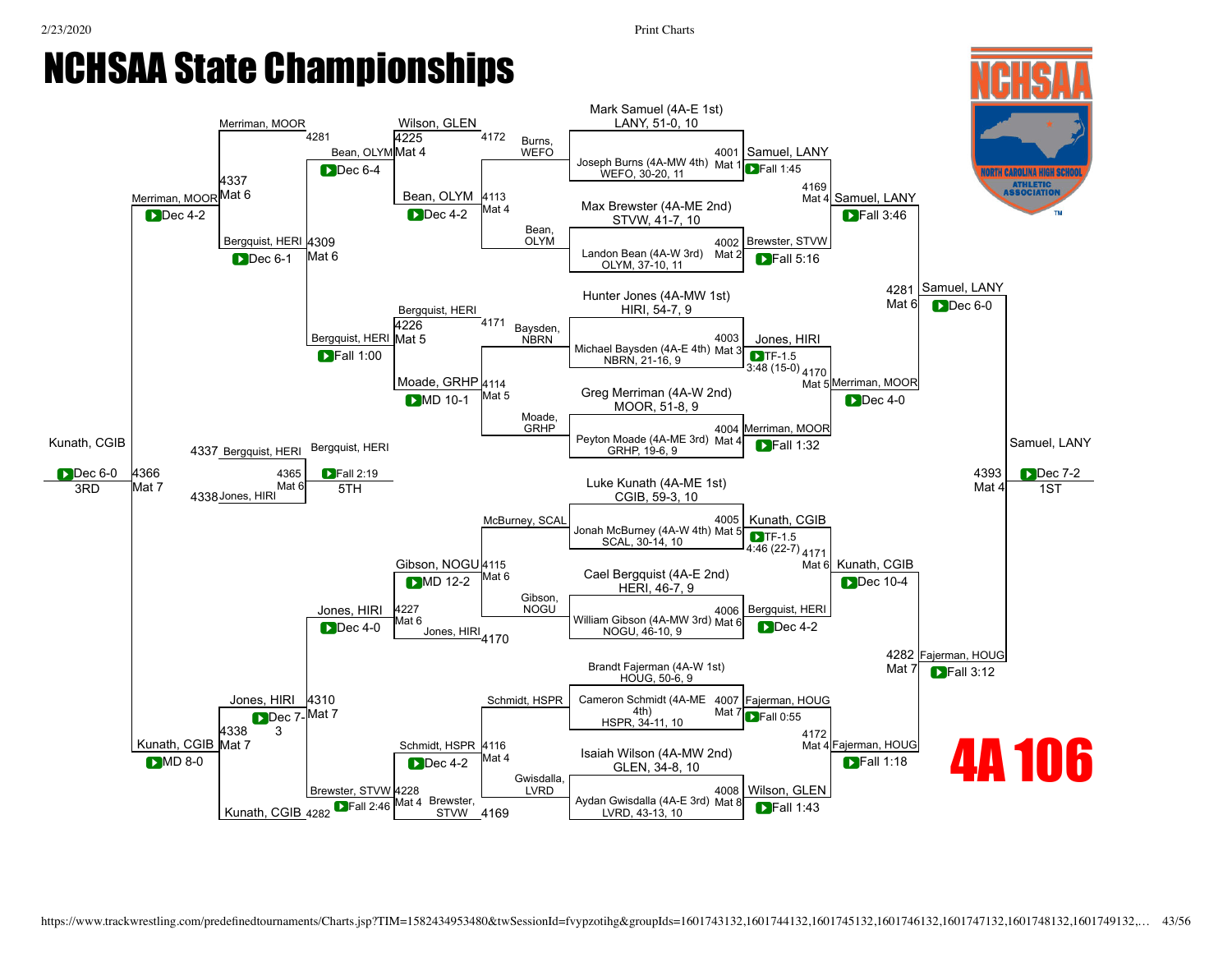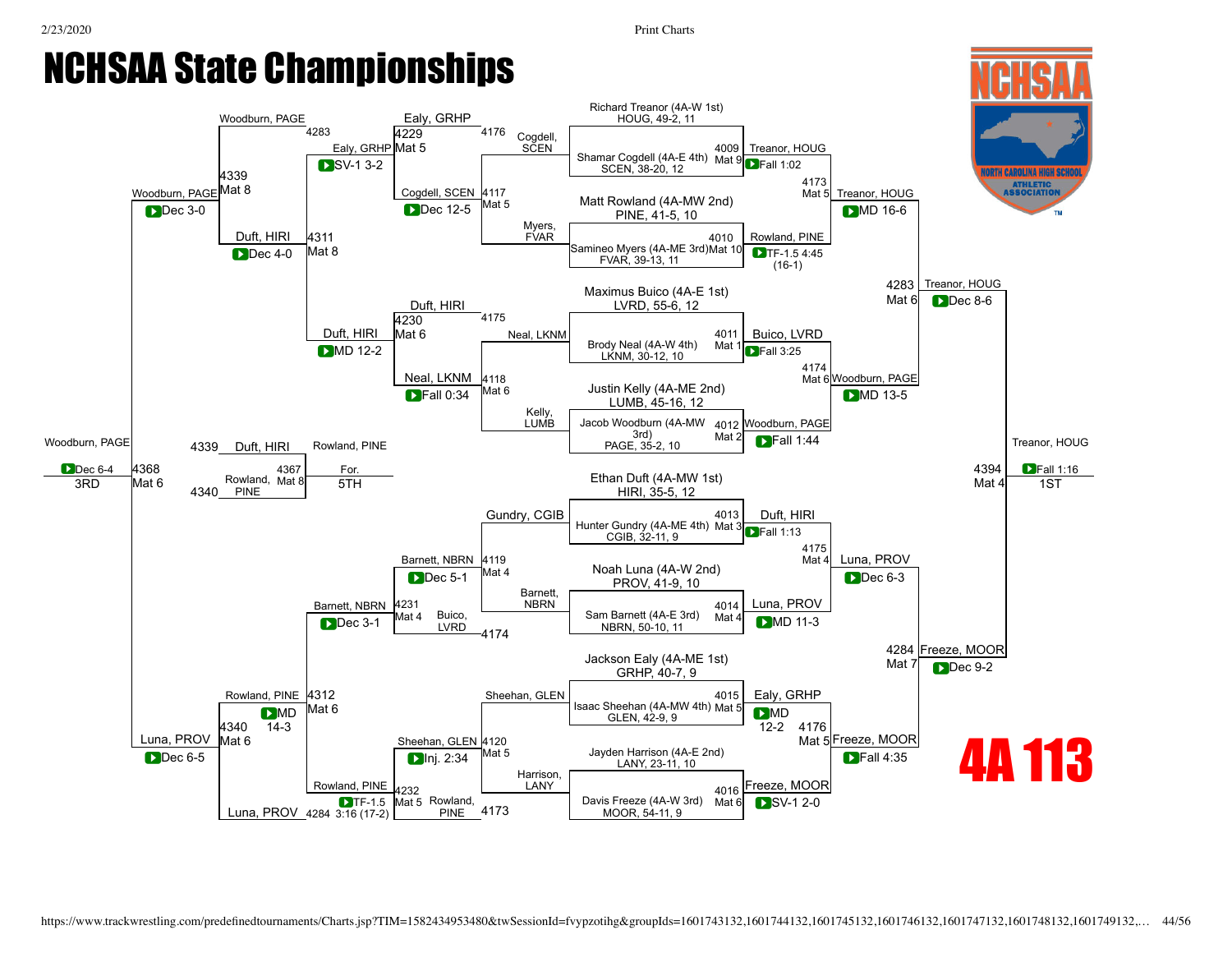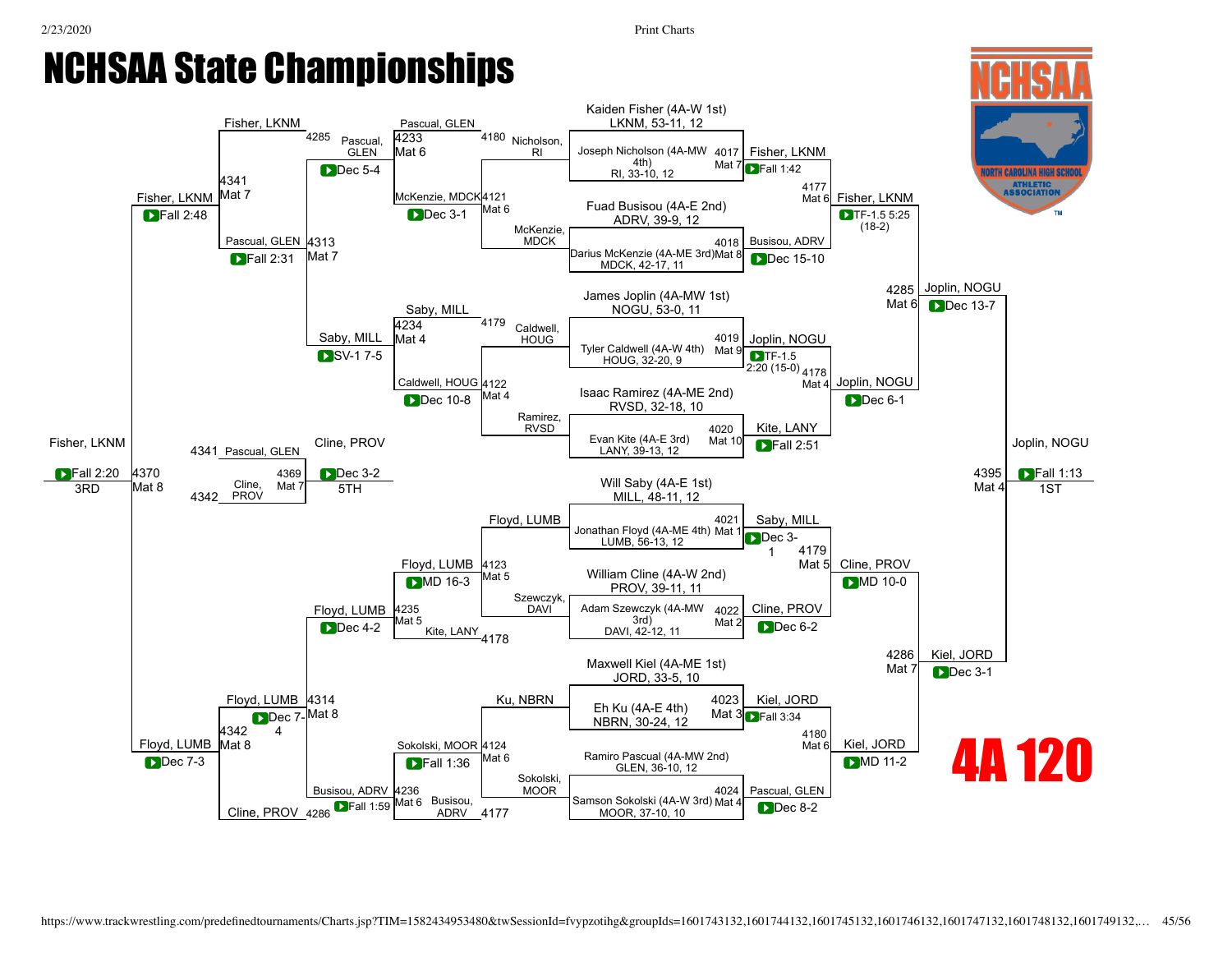1ST



Mat 6

Dec 7-3 | International Decision of Mato Mato Control Ramino Pascual (4A-MW 2nd)<br>
GLEN. 36-10. 12

ADRV 4177

GLEN, 36-10, 12 Dec 7-3

[4236](javascript:openBoutSheet(22,)

**DFall 1:36** 

Mat 6 Busisou,

[Cline,](javascript:viewProfile(332953132)) PROV 4286

Busisou, ADRV

**D**Fall 1:59

[Sokolski](javascript:viewProfile(638137009)), MOOR

**D**Fall 1:59 Mat 6 Busisou, Samson [Sokolski](javascript:viewProfile(638137009)) (4A-W 3rd) Mat 4 ADRV 4177

4177 MOOR, 37-10, 10

Pascual, GLEN

[4024](javascript:openBoutSheet(8,)

**DMD** 11-2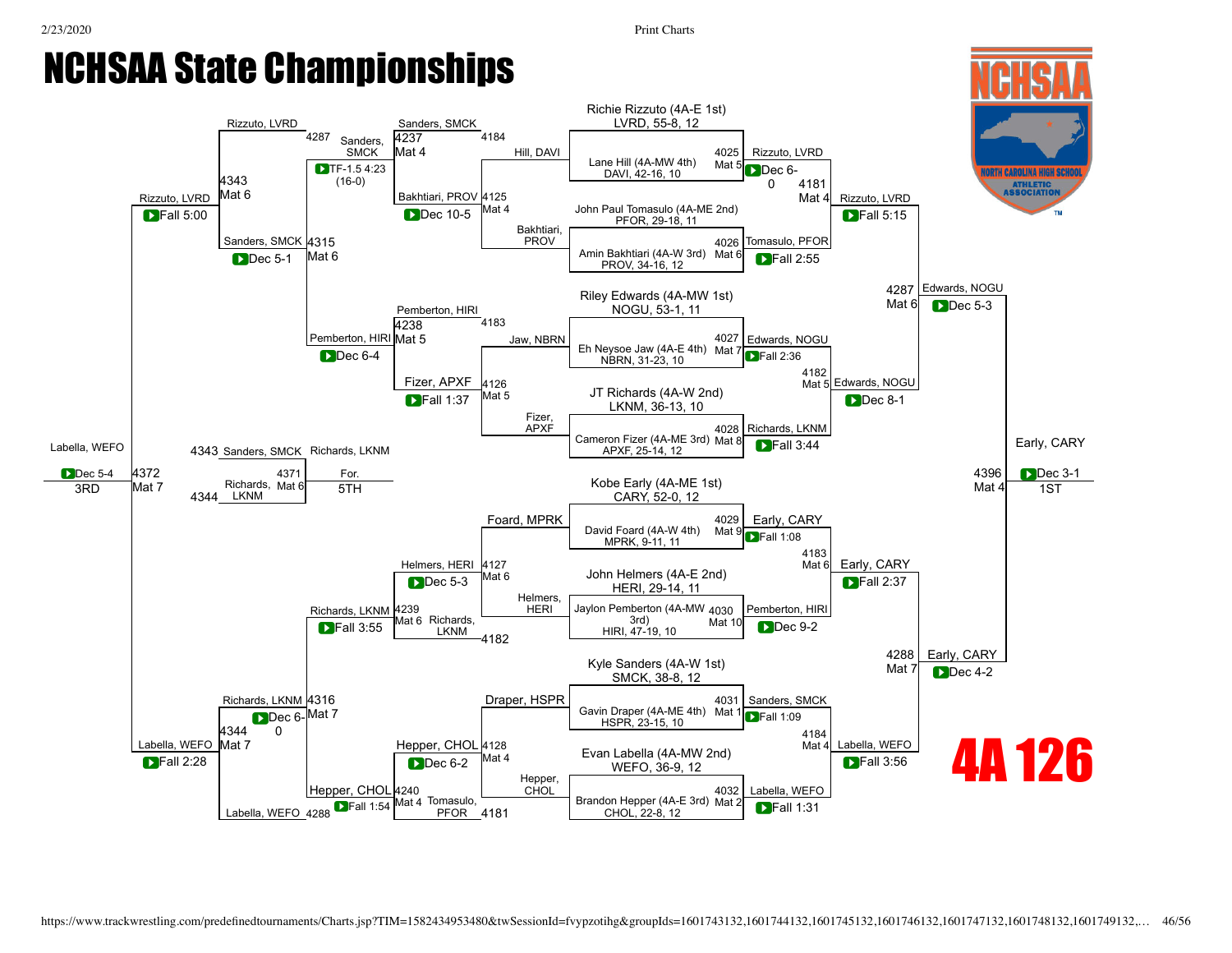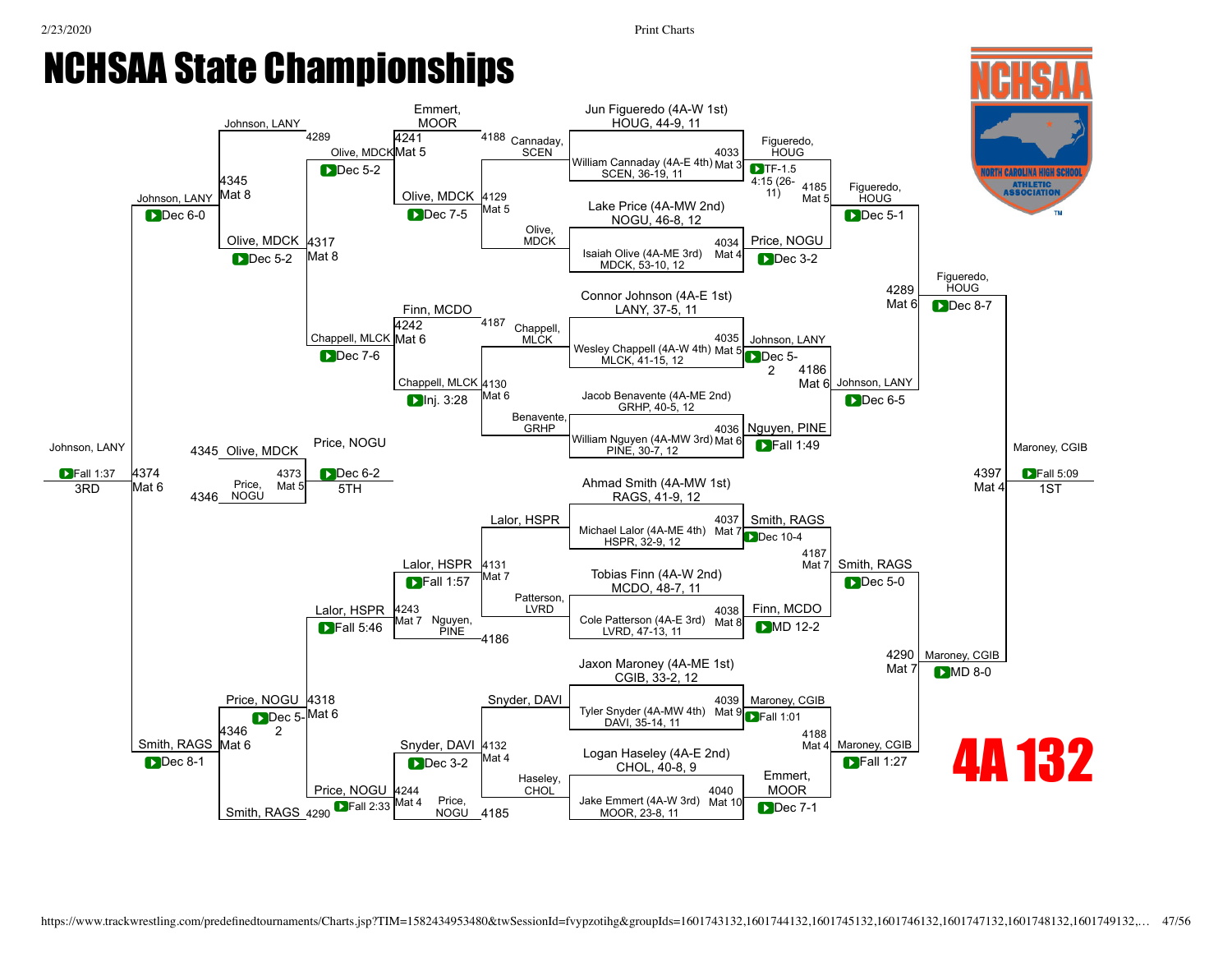#### NCHSAA State Championships Johnson, LANY 4289 [Olive](javascript:viewProfile(1608067132)), MDCKMat 5 [Emmert](javascript:viewProfile(1384167009)), **MOOR** <sup>4188</sup> [Cannaday](javascript:viewProfile(227003135)), **SCEN** [4345](javascript:openBoutSheet(25,) [4241](javascript:openBoutSheet(18,)

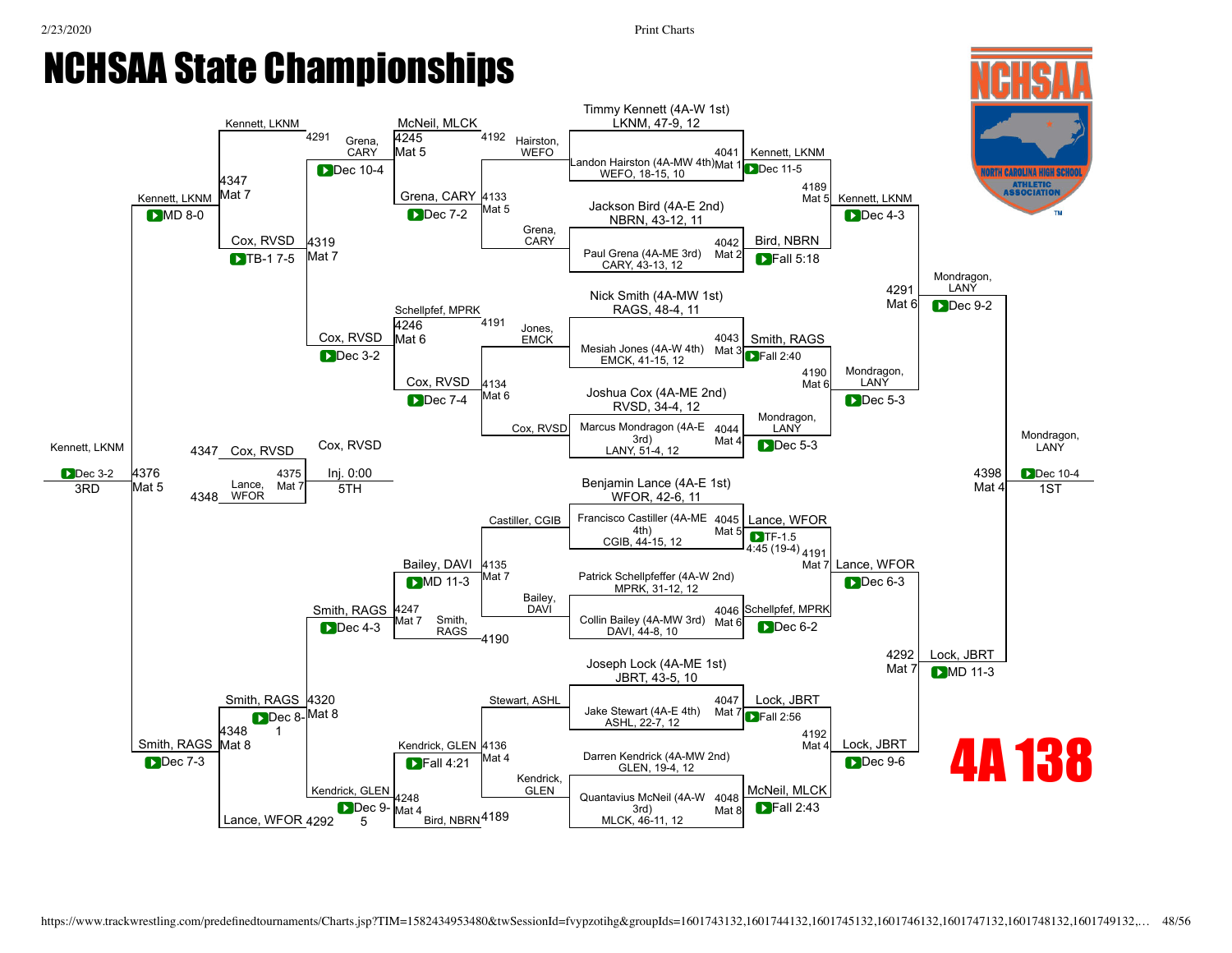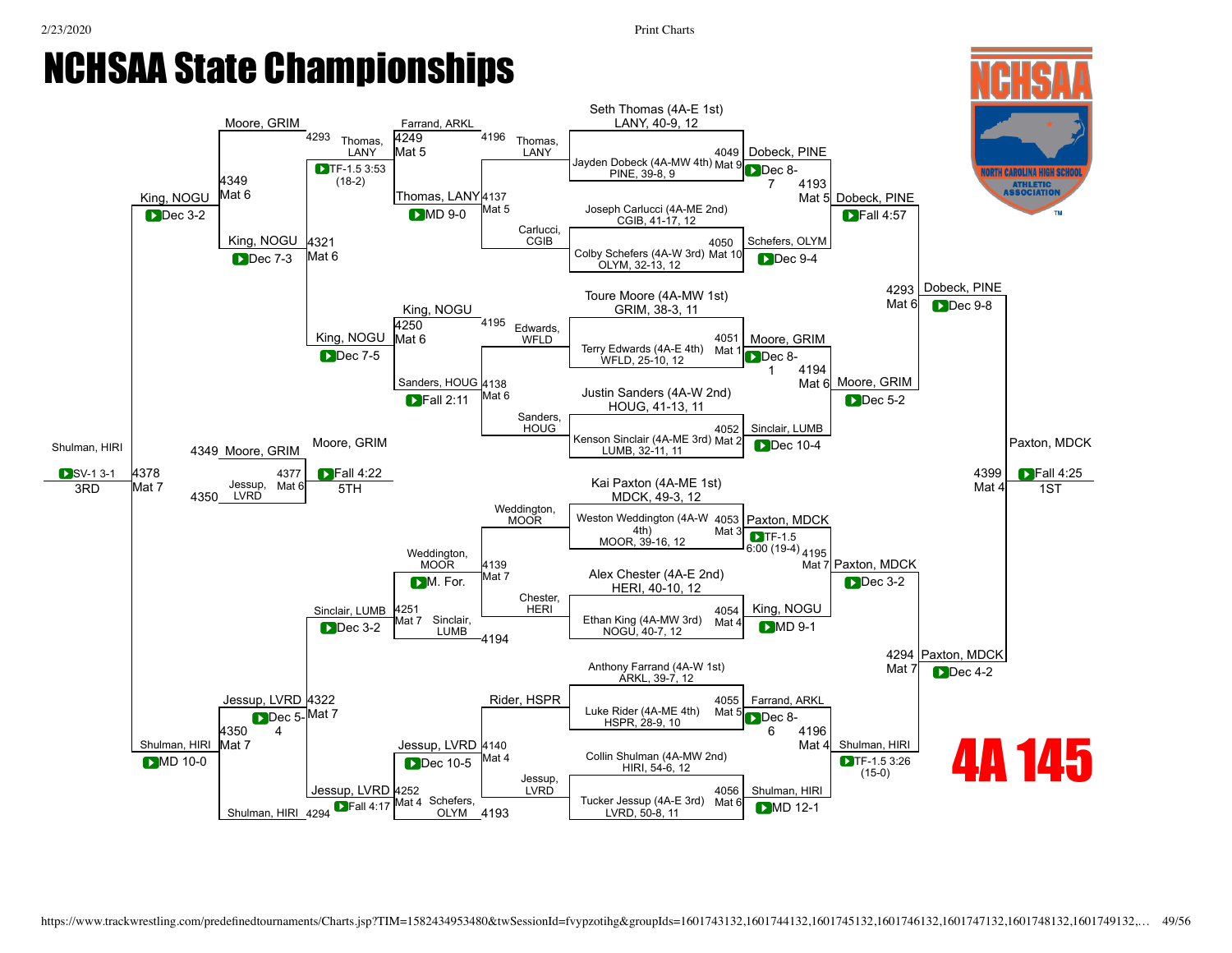1ST



[Jessup](javascript:viewProfile(629503132)), LVRD

Tucker [Jessup](javascript:viewProfile(629503132)) (4A-E 3rd) Mat 6<br>DFall 4:17 Mat 4 Schefers, Tucker Jessup (4A-E 3rd) Mat 6

Shulman, HIRI 4294

[Jessup](javascript:viewProfile(629503132)), LVRD [4252](javascript:openBoutSheet(22,)

**D**Fall 4:17

Mat 4 Schefers,

OLYM 4193

4193 **LVRD, 50-8, 11** Mat <sup>o</sup> MD 12-1

Shulman, HIRI

[4056](javascript:openBoutSheet(8,) Mat 6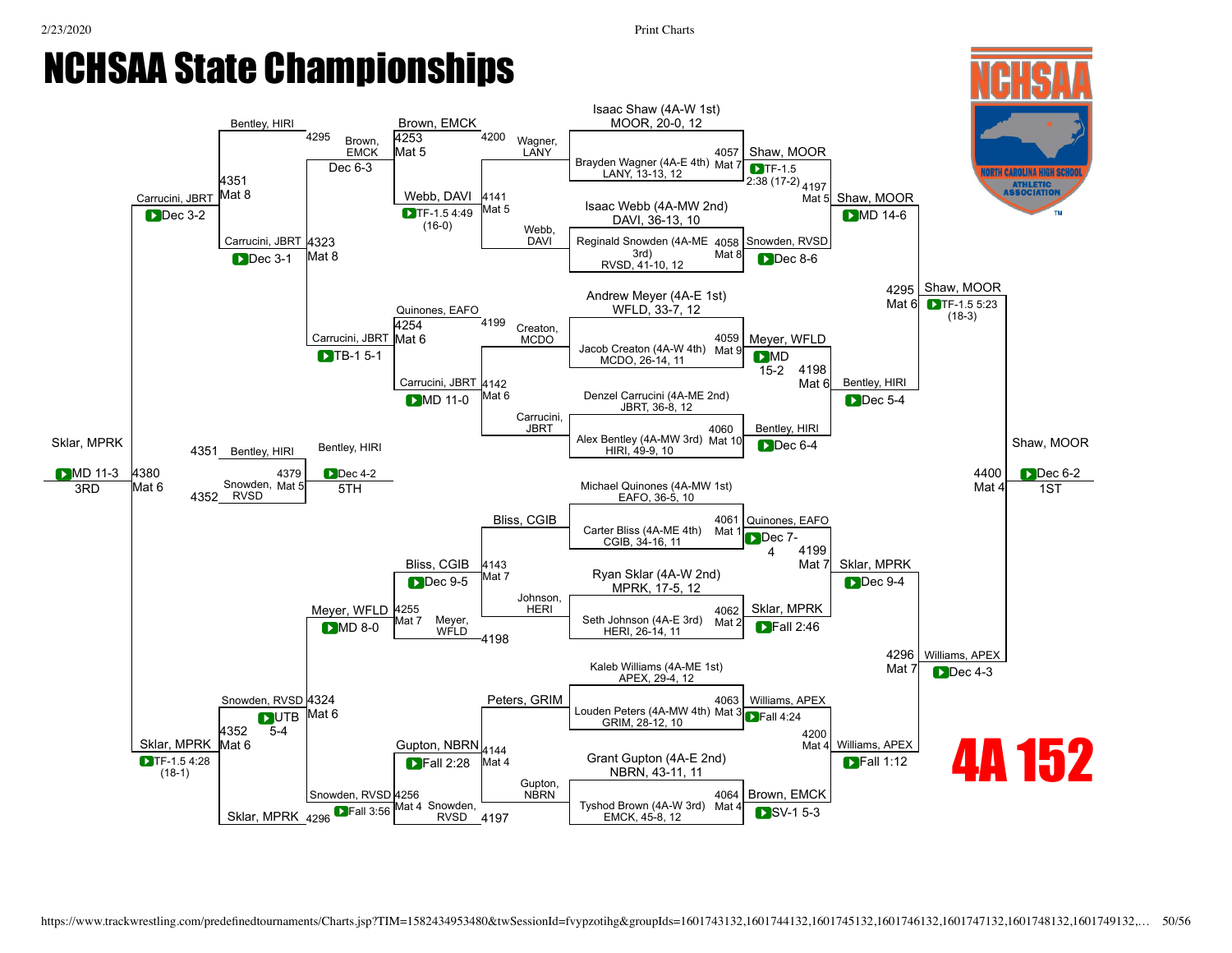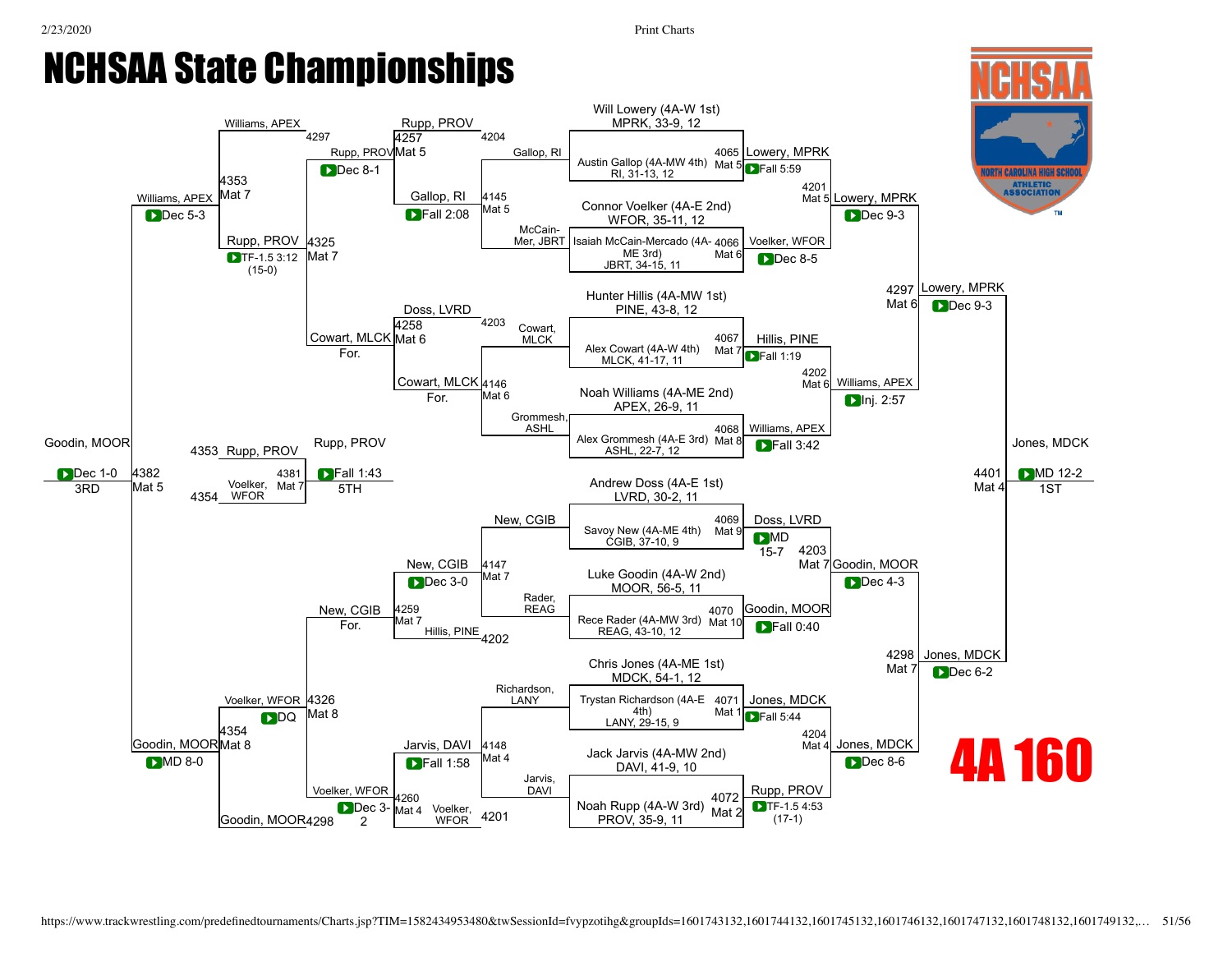1ST



D<sub>AVI</sub>

Dec 3- Mat 4 Voelker,  $\frac{1}{2004}$  Noah [Rupp](javascript:viewProfile(548087096)) (4A-W 3rd)  $\frac{1002}{\text{Mat 2}}$ 

[Goodin,](javascript:viewProfile(336038096)) MOOR 4298

[Voelker,](javascript:viewProfile(1657135132)) WFOR

Dec 3-2

[4260](javascript:openBoutSheet(22,)<br>Mat 4

[Voelker](javascript:viewProfile(1657135132)). WFOR

4201

PROV, 35-9, 11

[Rupp](javascript:viewProfile(548087096)), PROV

TF-1.5 4:53 (17-1)

[4072](javascript:openBoutSheet(8,) Mat 2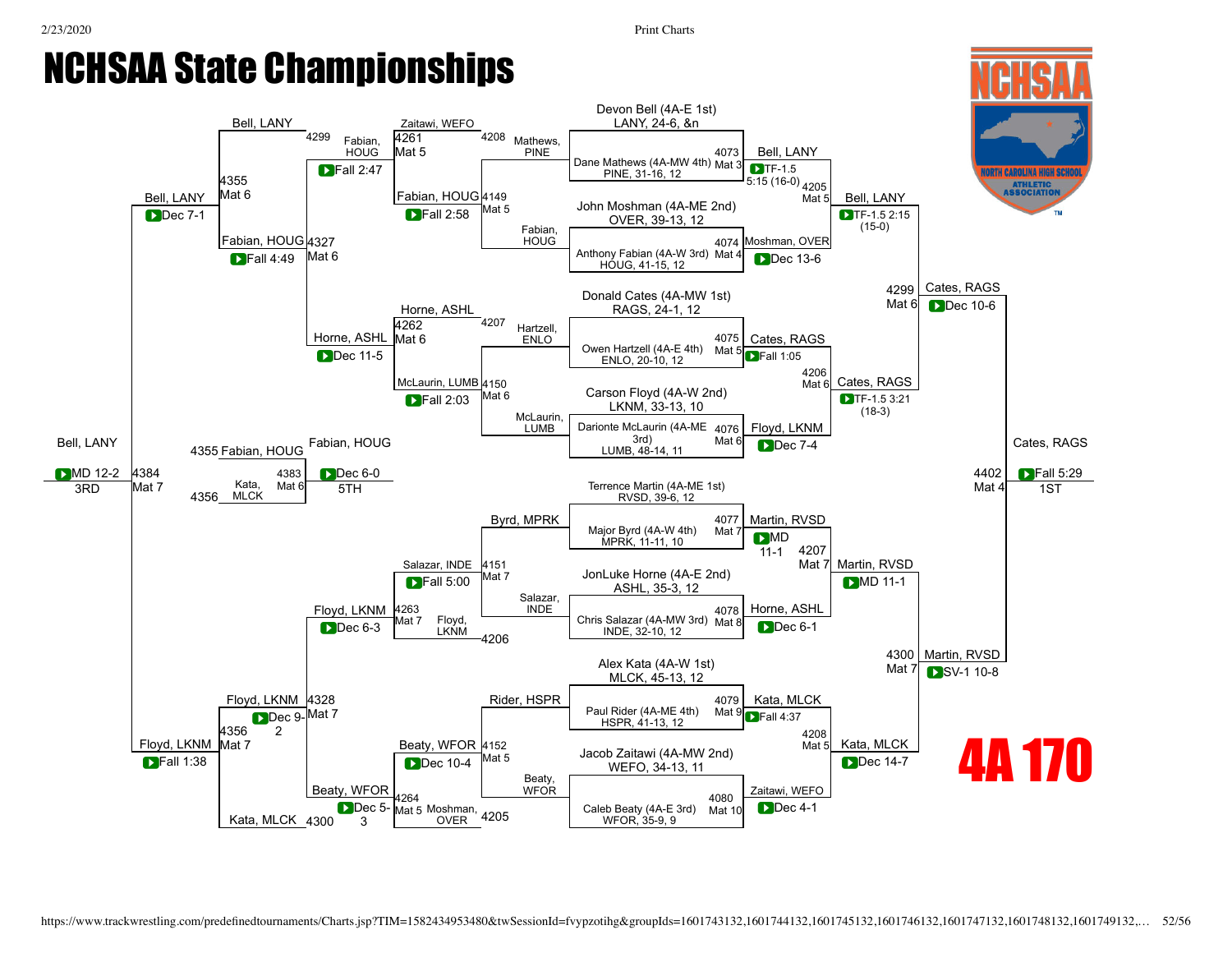#### 2/23/2020 Print Charts NCHSAA State Championships [Bell,](javascript:viewProfile(558477009)) LANY [Bell,](javascript:viewProfile(558477009)) LANY <sup>4299</sup> [Fabian,](javascript:viewProfile(1198699096)) **HOUG** Zaitawi, WEFO <sup>4208</sup> Mathews, PINE Devon [Bell](javascript:viewProfile(558477009)) (4A-E 1st) LANY, 24-6, &n [4355](javascript:openBoutSheet(25,) Mat<sub>6</sub> [4261](javascript:openBoutSheet(18,) Mat 5 PINE, 31-16, 12 [Fabian](javascript:viewProfile(1198699096)), HOUG [4149](javascript:openBoutSheet(10,) Mat 5  $\blacksquare$ Fall 2:58

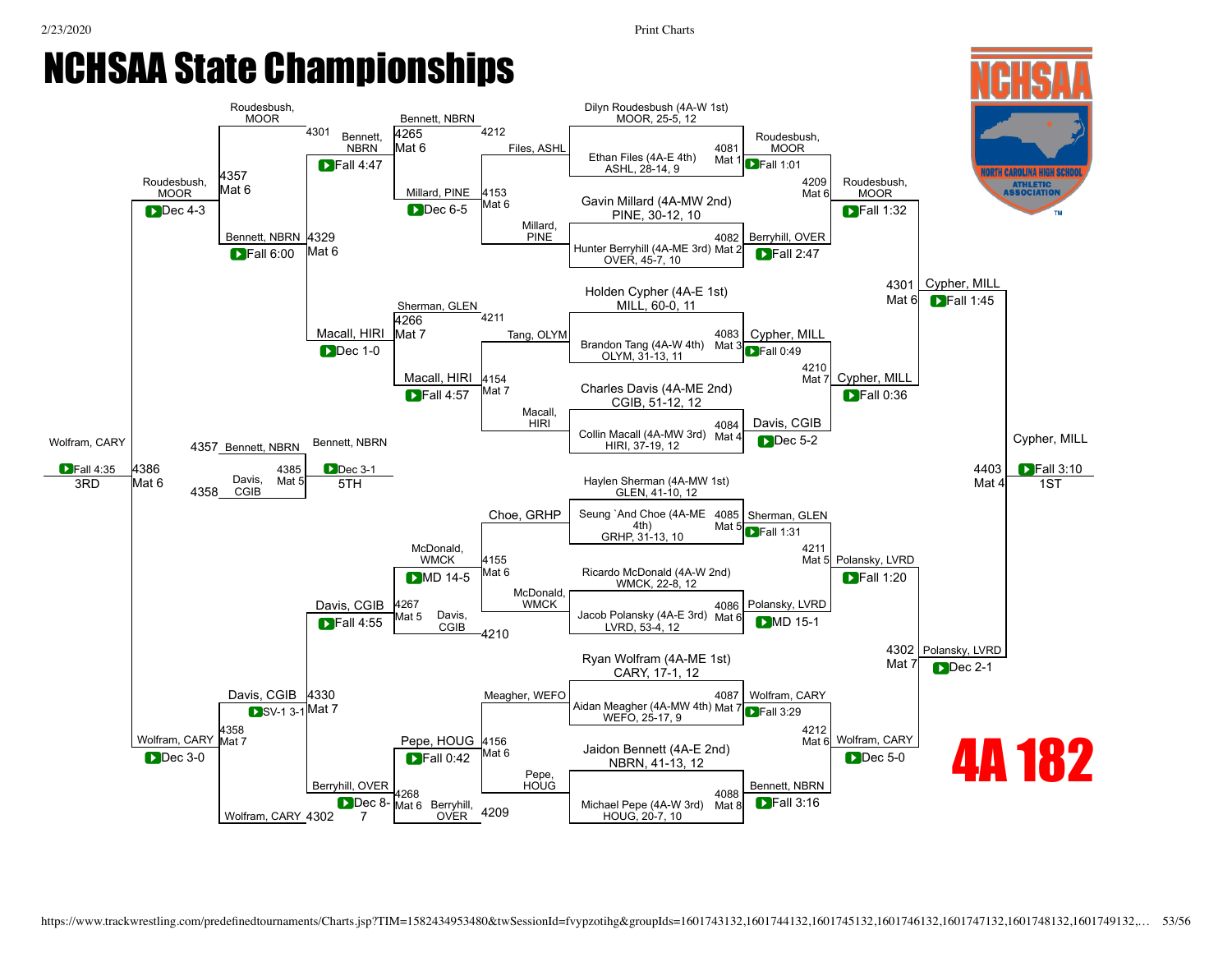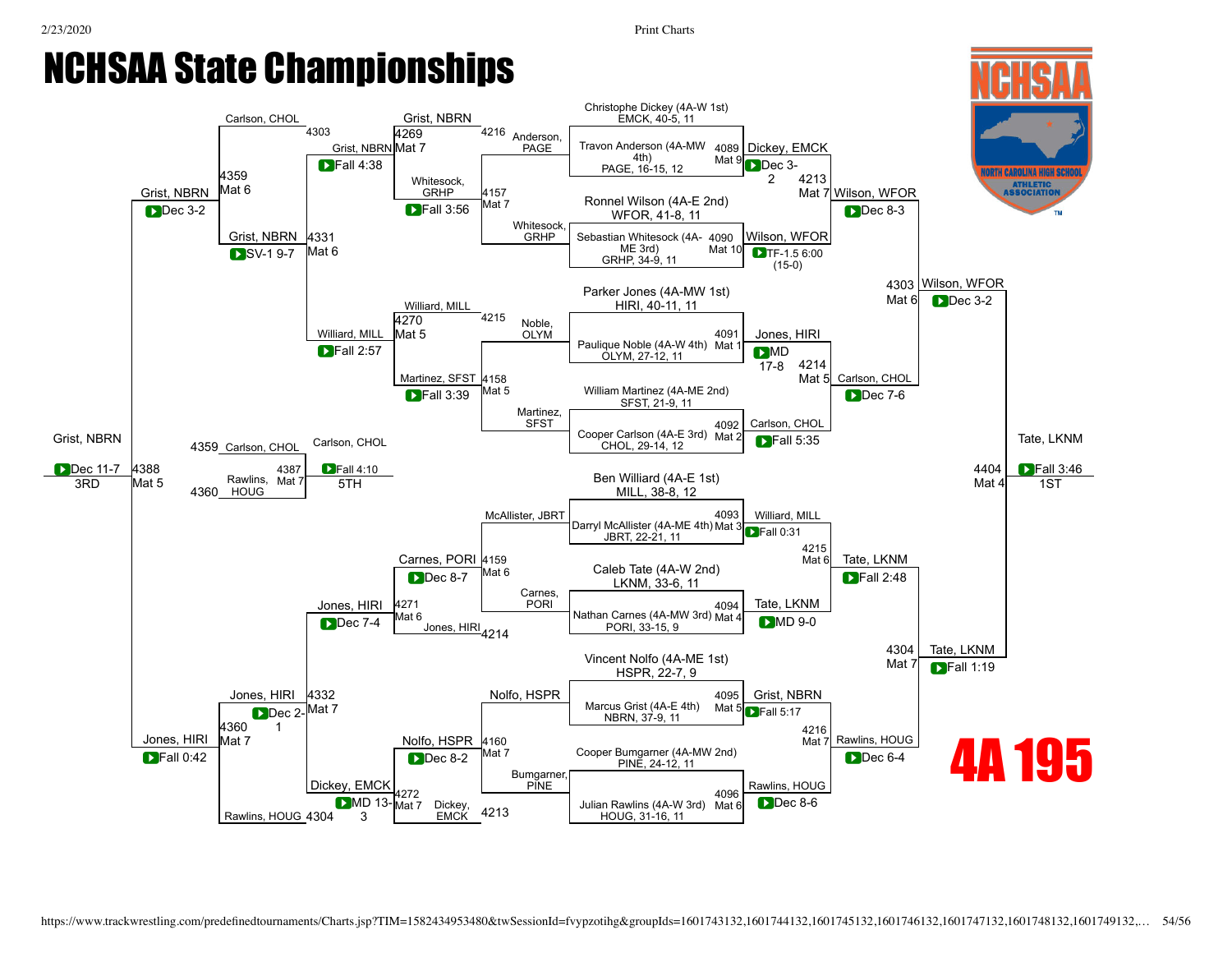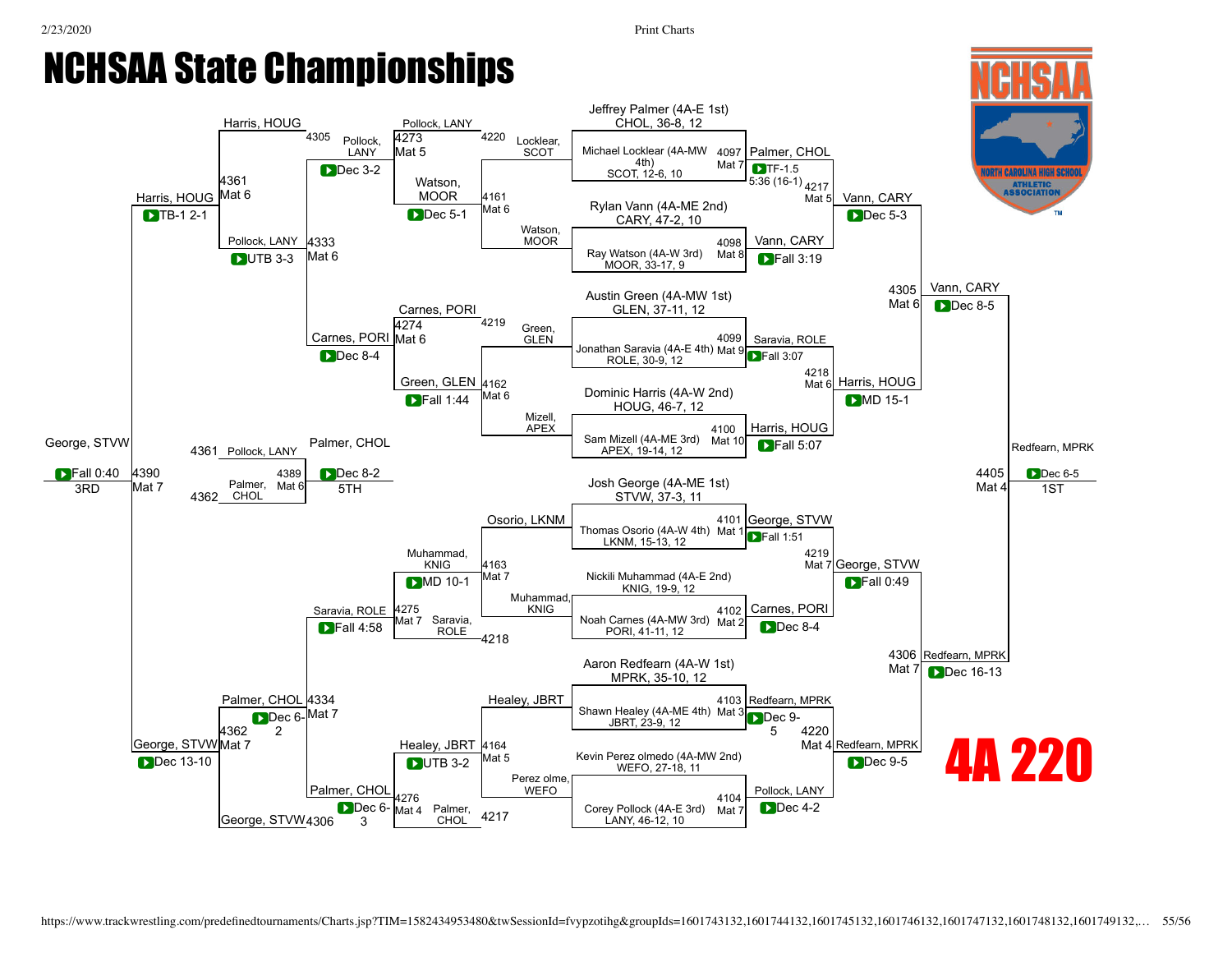